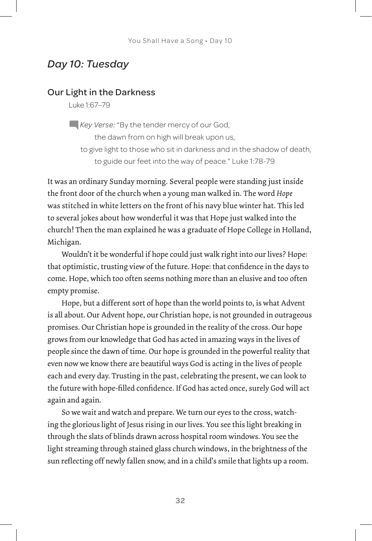## *Day 10: Tuesday*

## Our Light in the Darkness

Luke 1:67–79

**Key Verse: "By the tender mercy of our God,** the dawn from on high will break upon us, to give light to those who sit in darkness and in the shadow of death, to guide our feet into the way of peace." Luke 1:78-79

It was an ordinary Sunday morning. Several people were standing just inside the front door of the church when a young man walked in. The word *Hope* was stitched in white letters on the front of his navy blue winter hat. This led to several jokes about how wonderful it was that Hope just walked into the church! Then the man explained he was a graduate of Hope College in Holland, Michigan.

Wouldn't it be wonderful if hope could just walk right into our lives? Hope: that optimistic, trusting view of the future. Hope: that confidence in the days to come. Hope, which too often seems nothing more than an elusive and too often empty promise.

Hope, but a different sort of hope than the world points to, is what Advent is all about. Our Advent hope, our Christian hope, is not grounded in outrageous promises. Our Christian hope is grounded in the reality of the cross. Our hope grows from our knowledge that God has acted in amazing ways in the lives of people since the dawn of time. Our hope is grounded in the powerful reality that even now we know there are beautiful ways God is acting in the lives of people each and every day. Trusting in the past, celebrating the present, we can look to the future with hope-filled confidence. If God has acted once, surely God will act again and again.

So we wait and watch and prepare. We turn our eyes to the cross, watching the glorious light of Jesus rising in our lives. You see this light breaking in through the slats of blinds drawn across hospital room windows. You see the light streaming through stained glass church windows, in the brightness of the sun reflecting off newly fallen snow, and in a child's smile that lights up a room.

32